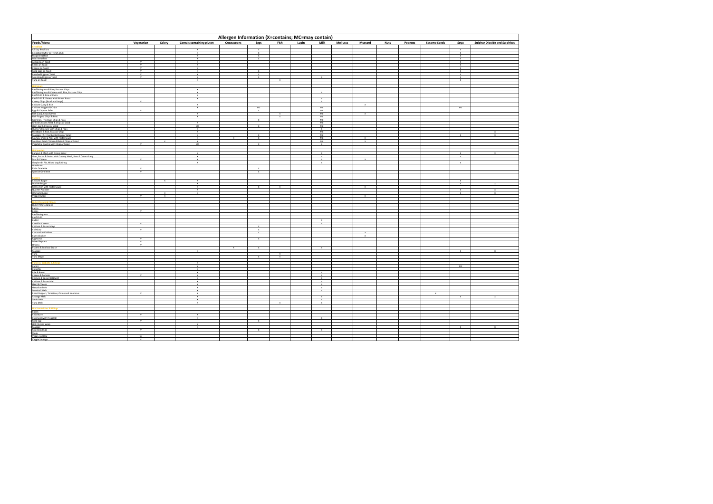| Allergen Information (X=contains; MC=may contain)                                                                                                                                                                                                        |                              |              |                              |             |                              |              |       |                              |                            |             |         |                     |                              |                                      |
|----------------------------------------------------------------------------------------------------------------------------------------------------------------------------------------------------------------------------------------------------------|------------------------------|--------------|------------------------------|-------------|------------------------------|--------------|-------|------------------------------|----------------------------|-------------|---------|---------------------|------------------------------|--------------------------------------|
| Foods/Menu                                                                                                                                                                                                                                               | Vegetarian                   | Celery       | Cereals containing gluten    | Crustaceans | Eggs                         | Fish         | Lupin | Milk                         | <b>Molluscs</b><br>Mustard | <b>Nuts</b> | Peanuts | <b>Sesame Seeds</b> | Soya                         | <b>Sulphur Dioxide and Sulphites</b> |
|                                                                                                                                                                                                                                                          |                              |              |                              |             |                              |              |       |                              |                            |             |         |                     | $\mathbf{x}$                 |                                      |
|                                                                                                                                                                                                                                                          |                              |              |                              |             | $\boldsymbol{\mathsf{x}}$    |              |       |                              |                            |             |         |                     | $\mathbf{x}$                 |                                      |
|                                                                                                                                                                                                                                                          |                              |              |                              |             | $\mathbf{x}$                 |              |       |                              |                            |             |         |                     | $\mathbf x$                  |                                      |
|                                                                                                                                                                                                                                                          | $\mathbf{v}$                 |              |                              |             |                              |              |       |                              |                            |             |         |                     | $\mathbf{x}$<br>$\mathbf{x}$ |                                      |
|                                                                                                                                                                                                                                                          | $\mathbf{v}$                 |              |                              |             |                              |              |       |                              |                            |             |         |                     | $\mathbf x$                  |                                      |
|                                                                                                                                                                                                                                                          | $\mathsf{v}$                 |              |                              |             | $\mathbf{v}$                 |              |       |                              |                            |             |         |                     | $\mathbf{x}$<br>$\mathbf{x}$ |                                      |
|                                                                                                                                                                                                                                                          | $\mathbf{v}$                 |              |                              |             |                              |              |       |                              |                            |             |         |                     |                              |                                      |
|                                                                                                                                                                                                                                                          | $\mathbf{v}$                 |              | $\mathbf{x}$                 |             | $\mathbf{x}$                 |              |       | $\mathbf{x}$                 |                            |             |         |                     | $\mathbf{x}$                 |                                      |
|                                                                                                                                                                                                                                                          |                              |              | $\mathbf{x}$                 |             |                              | $\mathbf{x}$ |       |                              |                            |             |         |                     | $\mathbf{x}$                 |                                      |
|                                                                                                                                                                                                                                                          |                              |              |                              |             |                              |              |       |                              |                            |             |         |                     |                              |                                      |
|                                                                                                                                                                                                                                                          |                              |              |                              |             |                              |              |       |                              |                            |             |         |                     |                              |                                      |
|                                                                                                                                                                                                                                                          |                              |              | $\mathbf{x}$                 |             |                              |              |       | $\mathbf{x}$                 |                            |             |         |                     |                              |                                      |
|                                                                                                                                                                                                                                                          |                              |              | $\mathbf{x}$                 |             |                              |              |       |                              |                            |             |         |                     |                              |                                      |
|                                                                                                                                                                                                                                                          | $\mathbf{v}$                 |              | $\mathbf{x}$                 |             |                              |              |       | $\mathbf{x}$<br>$\mathbf{x}$ |                            |             |         |                     |                              |                                      |
|                                                                                                                                                                                                                                                          |                              |              | $\mathbf{x}$                 |             |                              |              |       |                              | $\mathbf{x}$               |             |         |                     |                              |                                      |
|                                                                                                                                                                                                                                                          |                              |              | $\mathbf{x}$                 |             | MC.                          |              |       | MC                           |                            |             |         |                     | MC                           |                                      |
|                                                                                                                                                                                                                                                          |                              |              | $\mathbf{x}$                 |             | $\mathbf{x}$                 |              |       | MC<br>MC                     |                            |             |         |                     |                              |                                      |
|                                                                                                                                                                                                                                                          |                              |              | $\mathbf{x}$                 |             |                              | $\mathbf{x}$ |       | MC                           |                            |             |         |                     |                              |                                      |
|                                                                                                                                                                                                                                                          |                              |              |                              |             | $\mathbf{x}$                 |              |       | MC                           |                            |             |         |                     |                              |                                      |
|                                                                                                                                                                                                                                                          |                              |              | $\chi$                       |             |                              |              |       | MC                           |                            |             |         |                     |                              |                                      |
|                                                                                                                                                                                                                                                          |                              |              | MC<br>$\mathbf{x}$           |             |                              |              |       | MC<br>$\mathbf{x}$           |                            |             |         |                     |                              |                                      |
|                                                                                                                                                                                                                                                          |                              |              |                              |             |                              |              |       | MC                           |                            |             |         |                     |                              |                                      |
|                                                                                                                                                                                                                                                          |                              |              |                              |             |                              |              |       | MC                           |                            |             |         |                     | $\mathbf{x}$                 |                                      |
|                                                                                                                                                                                                                                                          |                              |              | $\mathbf{x}$                 |             | $\mathbf{x}$                 |              |       | MC                           |                            |             |         |                     |                              |                                      |
|                                                                                                                                                                                                                                                          |                              | $\mathbf{x}$ | $\mathbf x$<br>MC            |             |                              |              |       | MC<br>$\mathbf{x}$           | $\mathbf{x}$               |             |         |                     |                              |                                      |
|                                                                                                                                                                                                                                                          |                              |              |                              |             |                              |              |       |                              |                            |             |         |                     |                              |                                      |
| <u>Jost Saeciaik</u><br>Bangers & Mach with Onion Gravy<br>Bangers & Mach with Creamy Mach. Peas & Onion Gravy<br>Jose & Chesse<br>Shapherd': Re, Mixed Veg & Gravy<br>Onapherd': Re, Mixed Veg & Gravy<br>Shapherd': Re, Mixed Veg & Gravy<br>Shapherd' |                              |              |                              |             |                              |              |       |                              |                            |             |         |                     |                              |                                      |
|                                                                                                                                                                                                                                                          |                              |              | $\mathbf{x}$                 |             |                              |              |       | $\mathbf{x}$<br>$\mathbf{x}$ |                            |             |         |                     | $\mathbf{x}$                 |                                      |
|                                                                                                                                                                                                                                                          | $\overline{v}$               |              | Y                            |             |                              |              |       | $\overline{x}$               | $\mathbf{x}$               |             |         |                     | $\mathbf x$                  |                                      |
|                                                                                                                                                                                                                                                          |                              |              | $\mathbf{v}$                 |             |                              |              |       | $\mathbf{x}$                 |                            |             |         |                     | $\mathbf{x}$                 |                                      |
|                                                                                                                                                                                                                                                          |                              |              |                              |             |                              |              |       |                              |                            |             |         |                     |                              |                                      |
|                                                                                                                                                                                                                                                          | $\mathbf{v}$<br>$\mathbf{v}$ |              |                              |             | $\mathbf{x}$<br>$\mathbf{x}$ |              |       |                              |                            |             |         |                     |                              |                                      |
|                                                                                                                                                                                                                                                          |                              |              |                              |             |                              |              |       |                              |                            |             |         |                     |                              |                                      |
|                                                                                                                                                                                                                                                          |                              |              |                              |             |                              |              |       |                              |                            |             |         |                     |                              |                                      |
|                                                                                                                                                                                                                                                          |                              | $\mathbf{x}$ | $\mathbf{v}$<br>$\mathbf{x}$ |             |                              |              |       |                              |                            |             |         |                     | $\mathbf{x}$<br>$\mathbf{x}$ |                                      |
|                                                                                                                                                                                                                                                          |                              |              | $\mathbf{x}$                 |             | $\mathbf{x}$                 | $\mathbf x$  |       |                              | $\mathbf{x}$               |             |         |                     |                              |                                      |
| Burgers<br>Chicken Burger<br>Double Burger<br>Filet-o-Fish with Tartar Sauce<br>Quarter Pounder<br>Ultimate Burger<br>Veosie Burger                                                                                                                      |                              |              | $\mathbf{x}$                 |             |                              |              |       |                              |                            |             |         |                     | $\mathbf{x}$                 |                                      |
|                                                                                                                                                                                                                                                          |                              | $\mathbf{x}$ |                              |             |                              |              |       |                              |                            |             |         |                     | $\mathbf{x}$                 |                                      |
|                                                                                                                                                                                                                                                          | $\mathbf{v}$                 | $\mathbf{x}$ |                              |             |                              |              |       |                              | $\mathbf{x}$               |             |         |                     |                              |                                      |
|                                                                                                                                                                                                                                                          |                              |              |                              |             |                              |              |       |                              |                            |             |         |                     |                              |                                      |
|                                                                                                                                                                                                                                                          |                              |              |                              |             |                              |              |       |                              |                            |             |         |                     |                              |                                      |
|                                                                                                                                                                                                                                                          |                              |              |                              |             |                              |              |       |                              |                            |             |         |                     |                              |                                      |
|                                                                                                                                                                                                                                                          | v                            |              |                              |             |                              |              |       |                              |                            |             |         |                     |                              |                                      |
|                                                                                                                                                                                                                                                          |                              |              |                              |             |                              |              |       |                              |                            |             |         |                     |                              |                                      |
|                                                                                                                                                                                                                                                          |                              |              |                              |             |                              |              |       |                              |                            |             |         |                     |                              |                                      |
|                                                                                                                                                                                                                                                          | v                            |              |                              |             |                              |              |       | $\mathbf x$                  |                            |             |         |                     |                              |                                      |
|                                                                                                                                                                                                                                                          | v                            |              |                              |             |                              |              |       |                              |                            |             |         |                     |                              |                                      |
|                                                                                                                                                                                                                                                          |                              |              |                              |             | $\mathbf{x}$                 |              |       |                              |                            |             |         |                     |                              |                                      |
|                                                                                                                                                                                                                                                          | $\mathbf{v}$                 |              |                              |             | $\mathbf{x}$                 |              |       |                              | $\mathbf{v}$               |             |         |                     |                              |                                      |
|                                                                                                                                                                                                                                                          | $_{\rm V}$                   |              |                              |             |                              |              |       |                              |                            |             |         |                     |                              |                                      |
|                                                                                                                                                                                                                                                          | $\overline{v}$               |              |                              |             |                              |              |       |                              |                            |             |         |                     |                              |                                      |
|                                                                                                                                                                                                                                                          |                              |              |                              | .v.         | $\mathbf{x}$                 |              |       | $\mathbf{x}$                 |                            |             |         |                     |                              |                                      |
|                                                                                                                                                                                                                                                          |                              |              |                              |             |                              | $\mathbf{x}$ |       |                              |                            |             |         |                     |                              |                                      |
|                                                                                                                                                                                                                                                          |                              |              |                              |             | $\mathbf{x}$                 | $\times$     |       |                              |                            |             |         |                     |                              |                                      |
|                                                                                                                                                                                                                                                          |                              |              |                              |             |                              |              |       |                              |                            |             |         |                     |                              |                                      |
|                                                                                                                                                                                                                                                          |                              |              | $\mathbf{x}$<br>$\mathbf{x}$ |             |                              |              |       |                              |                            |             |         |                     | MC                           |                                      |
|                                                                                                                                                                                                                                                          |                              |              | $\mathbf{x}$                 |             |                              |              |       |                              |                            |             |         |                     |                              |                                      |
|                                                                                                                                                                                                                                                          |                              |              | $\mathbf{x}$                 |             |                              |              |       | $\mathbf{x}$                 |                            |             |         |                     |                              |                                      |
|                                                                                                                                                                                                                                                          |                              |              |                              |             |                              |              |       | $\mathbf{x}$                 |                            |             |         |                     |                              |                                      |
|                                                                                                                                                                                                                                                          |                              |              | $\mathbf{x}$                 |             |                              |              |       | $\mathbf{x}$<br>$\mathbf{x}$ |                            |             |         |                     |                              |                                      |
|                                                                                                                                                                                                                                                          |                              |              |                              |             |                              |              |       | $\mathbf{x}$                 |                            |             |         |                     |                              |                                      |
|                                                                                                                                                                                                                                                          |                              |              | $\mathbf{x}$                 |             |                              |              |       | $\mathbf{x}$                 |                            |             |         |                     |                              |                                      |
|                                                                                                                                                                                                                                                          |                              |              | $\mathbf{x}$                 |             |                              |              |       | $\mathbf{x}$                 |                            |             |         |                     |                              |                                      |
|                                                                                                                                                                                                                                                          | v                            |              | $\mathbf x$                  |             |                              |              |       | $\mathbf{x}$                 |                            |             |         | $\mathbf x$         | $\mathbf{x}$                 |                                      |
|                                                                                                                                                                                                                                                          |                              |              |                              |             |                              |              |       | $\mathbf{x}$                 |                            |             |         |                     |                              |                                      |
|                                                                                                                                                                                                                                                          |                              |              |                              |             |                              |              |       | $\times$                     |                            |             |         |                     |                              |                                      |
|                                                                                                                                                                                                                                                          |                              |              |                              |             |                              |              |       |                              |                            |             |         |                     |                              |                                      |
|                                                                                                                                                                                                                                                          |                              |              |                              |             |                              |              |       |                              |                            |             |         |                     |                              |                                      |
|                                                                                                                                                                                                                                                          |                              |              |                              |             |                              |              |       |                              |                            |             |         |                     |                              |                                      |
|                                                                                                                                                                                                                                                          |                              |              | $\mathbf{x}$                 |             |                              |              |       | $\mathbf{x}$                 |                            |             |         |                     |                              |                                      |
|                                                                                                                                                                                                                                                          |                              |              | $\sim$                       |             |                              |              |       |                              |                            |             |         |                     |                              |                                      |
|                                                                                                                                                                                                                                                          |                              |              | $\boldsymbol{\chi}$          |             |                              |              |       |                              |                            |             |         |                     | $\mathbf{x}$                 |                                      |
| Scrambled Egg<br>Steak<br>Vesan Hot Dos                                                                                                                                                                                                                  | $\overline{v}$               |              |                              |             | $\mathbf x$                  |              |       | $\mathbf{x}$                 |                            |             |         |                     |                              |                                      |
|                                                                                                                                                                                                                                                          |                              |              |                              |             |                              |              |       |                              |                            |             |         |                     |                              |                                      |
|                                                                                                                                                                                                                                                          | Ve<br>$\mathbf{v}$           |              |                              |             |                              |              |       |                              |                            |             |         |                     |                              |                                      |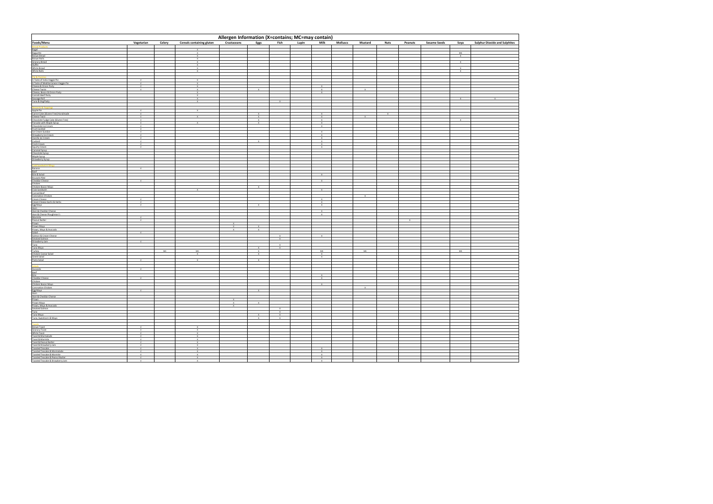| Allergen Information (X=contains; MC=may contain)                                                                                                                                                                             |                                |        |                                  |                             |                              |                          |       |                              |                 |                |                         |         |                     |                              |                                      |
|-------------------------------------------------------------------------------------------------------------------------------------------------------------------------------------------------------------------------------|--------------------------------|--------|----------------------------------|-----------------------------|------------------------------|--------------------------|-------|------------------------------|-----------------|----------------|-------------------------|---------|---------------------|------------------------------|--------------------------------------|
| Fooday Mental and State State State State State State State State State State State State State State State State State State State State State State State State State State State State State State State State State State | Vegetarian                     | Celery | <b>Cereals containing gluten</b> | Crustaceans                 | Eggs                         | Fish                     | Lupin | Milk                         | <b>Molluscs</b> | Mustard        | <b>Nuts</b>             | Peanuts | <b>Sesame Seeds</b> | Soya                         | <b>Sulphur Dioxide and Sulphites</b> |
|                                                                                                                                                                                                                               |                                |        |                                  |                             |                              |                          |       |                              |                 |                |                         |         |                     |                              |                                      |
|                                                                                                                                                                                                                               |                                |        | $\mathbf{x}$<br>$\mathbf{x}$     |                             |                              |                          |       |                              |                 |                |                         |         |                     | - MC                         |                                      |
|                                                                                                                                                                                                                               |                                |        | $\mathbf{x}$                     |                             |                              |                          |       |                              |                 |                |                         |         |                     | $\mathbf{x}$                 |                                      |
|                                                                                                                                                                                                                               |                                |        | $\mathbf{x}$<br>$\sim$           |                             |                              |                          |       |                              |                 |                |                         |         |                     | $\mathbf{x}$                 |                                      |
|                                                                                                                                                                                                                               |                                |        | $\mathbf{x}$                     |                             |                              |                          |       |                              |                 |                |                         |         |                     |                              |                                      |
|                                                                                                                                                                                                                               |                                |        | $\mathbf{x}$<br>$\mathbf{x}$     |                             |                              |                          |       |                              |                 |                |                         |         |                     | $\mathbf{x}$<br>$\mathbf{x}$ |                                      |
|                                                                                                                                                                                                                               |                                |        |                                  |                             |                              |                          |       |                              |                 |                |                         |         |                     |                              |                                      |
|                                                                                                                                                                                                                               |                                |        |                                  |                             |                              |                          |       |                              |                 |                |                         |         |                     |                              |                                      |
|                                                                                                                                                                                                                               | V<br>V                         |        | $\mathbf{x}$<br>$\mathbf{x}$     |                             |                              |                          |       |                              |                 |                |                         |         |                     |                              |                                      |
|                                                                                                                                                                                                                               | v                              |        | $\mathbf x$                      |                             |                              |                          |       | $\boldsymbol{\mathsf{x}}$    |                 |                |                         |         |                     |                              |                                      |
|                                                                                                                                                                                                                               |                                |        | $\mathbf{x}$<br>$\mathbf{x}$     |                             | $\mathbf{x}$                 |                          |       | $\mathbf x$<br>$\mathbf{x}$  |                 | $\times$       |                         |         |                     |                              |                                      |
|                                                                                                                                                                                                                               |                                |        | $\mathbf{x}$                     |                             |                              |                          |       |                              |                 |                |                         |         |                     |                              |                                      |
|                                                                                                                                                                                                                               |                                |        | $\mathbf{x}$                     |                             |                              | $\mathbf{x}$             |       |                              |                 |                |                         |         |                     | Y                            |                                      |
|                                                                                                                                                                                                                               |                                |        |                                  |                             |                              |                          |       |                              |                 |                |                         |         |                     |                              |                                      |
|                                                                                                                                                                                                                               | $\vee$                         |        | $\mathbf{x}$                     |                             |                              |                          |       |                              |                 |                |                         |         |                     |                              |                                      |
|                                                                                                                                                                                                                               | $\overline{v}$                 |        |                                  |                             | $\overline{x}$               |                          |       | $\overline{\mathbf{x}}$      |                 |                | $\overline{\mathbf{x}}$ |         |                     |                              |                                      |
|                                                                                                                                                                                                                               | $\mathbf{v}$<br>$\mathbf{v}$   |        | $\mathbf{x}$                     |                             | $\mathbf{x}$<br>$\mathbf{x}$ |                          |       | $\mathbf{x}$<br>$-26$        |                 | $\mathbf{x}$   |                         |         |                     |                              |                                      |
|                                                                                                                                                                                                                               | $\mathsf{v}$                   |        | $\mathbf{x}$                     |                             | $\mathbf{x}$                 |                          |       | $\mathbf{x}$                 |                 |                |                         |         |                     |                              |                                      |
|                                                                                                                                                                                                                               | $\mathbf v$                    |        |                                  |                             |                              |                          |       | $\mathbf x$                  |                 |                |                         |         |                     |                              |                                      |
|                                                                                                                                                                                                                               | v<br>V                         |        |                                  |                             |                              |                          |       | $\mathbf{x}$                 |                 |                |                         |         |                     |                              |                                      |
|                                                                                                                                                                                                                               | V                              |        |                                  |                             |                              |                          |       | $\mathbf{x}$                 |                 |                |                         |         |                     |                              |                                      |
|                                                                                                                                                                                                                               | $\vee$                         |        |                                  |                             | $\mathbf x$                  |                          |       | $\mathbf{x}$<br>$\mathbf x$  |                 |                |                         |         |                     |                              |                                      |
|                                                                                                                                                                                                                               | V                              |        |                                  |                             |                              |                          |       | $\mathbf{x}$                 |                 |                |                         |         |                     |                              |                                      |
|                                                                                                                                                                                                                               | V                              |        |                                  |                             |                              |                          |       | $\mathbf{x}$                 |                 |                |                         |         |                     |                              |                                      |
|                                                                                                                                                                                                                               |                                |        |                                  |                             |                              |                          |       |                              |                 |                |                         |         |                     |                              |                                      |
|                                                                                                                                                                                                                               |                                |        |                                  |                             |                              |                          |       |                              |                 |                |                         |         |                     |                              |                                      |
|                                                                                                                                                                                                                               |                                |        |                                  |                             |                              |                          |       |                              |                 |                |                         |         |                     |                              |                                      |
|                                                                                                                                                                                                                               |                                |        |                                  |                             |                              |                          |       |                              |                 |                |                         |         |                     |                              |                                      |
|                                                                                                                                                                                                                               | $\mathbf{v}$                   |        |                                  |                             |                              |                          |       |                              |                 |                |                         |         |                     |                              |                                      |
|                                                                                                                                                                                                                               |                                |        |                                  |                             |                              |                          |       | $\mathbf{x}$                 |                 |                |                         |         |                     |                              |                                      |
|                                                                                                                                                                                                                               |                                |        |                                  |                             |                              |                          |       |                              |                 |                |                         |         |                     |                              |                                      |
|                                                                                                                                                                                                                               |                                |        |                                  |                             |                              |                          |       |                              |                 |                |                         |         |                     |                              |                                      |
|                                                                                                                                                                                                                               |                                |        |                                  |                             | $\mathbf{x}$                 |                          |       |                              |                 |                |                         |         |                     |                              |                                      |
|                                                                                                                                                                                                                               |                                |        |                                  |                             |                              |                          |       | $\times$                     |                 |                |                         |         |                     |                              |                                      |
|                                                                                                                                                                                                                               |                                |        |                                  |                             |                              |                          |       |                              |                 | $\overline{x}$ |                         |         |                     |                              |                                      |
|                                                                                                                                                                                                                               | $\mathbf{v}$<br>V              |        |                                  |                             |                              |                          |       | $\mathbf{x}$<br>$\times$     |                 |                |                         |         |                     |                              |                                      |
|                                                                                                                                                                                                                               |                                |        |                                  |                             |                              |                          |       | $\mathbf{x}$                 |                 |                |                         |         |                     |                              |                                      |
|                                                                                                                                                                                                                               |                                |        |                                  |                             |                              |                          |       | $\mathbf{x}$                 |                 |                |                         |         |                     |                              |                                      |
|                                                                                                                                                                                                                               |                                |        |                                  |                             |                              |                          |       | $\mathbf{x}$                 |                 |                |                         |         |                     |                              |                                      |
|                                                                                                                                                                                                                               | $\mathsf{v}$                   |        |                                  |                             |                              |                          |       |                              |                 |                |                         |         |                     |                              |                                      |
|                                                                                                                                                                                                                               |                                |        |                                  |                             |                              |                          |       |                              |                 |                |                         |         |                     |                              |                                      |
|                                                                                                                                                                                                                               |                                |        |                                  | $\mathbf{x}$                | $\mathbf{x}$                 |                          |       |                              |                 |                |                         |         |                     |                              |                                      |
|                                                                                                                                                                                                                               | $\mathsf{v}$                   |        |                                  |                             | $\mathbf{x}$                 |                          |       |                              |                 |                |                         |         |                     |                              |                                      |
|                                                                                                                                                                                                                               |                                |        |                                  |                             |                              |                          |       |                              |                 |                |                         |         |                     |                              |                                      |
|                                                                                                                                                                                                                               | V                              |        |                                  |                             |                              | $-26$                    |       |                              |                 |                |                         |         |                     |                              |                                      |
|                                                                                                                                                                                                                               |                                |        |                                  |                             |                              | $\mathbf{x}$             |       |                              |                 |                |                         |         |                     |                              |                                      |
|                                                                                                                                                                                                                               |                                | MC     | MC                               |                             | $\mathbf x$                  | $\mathbf x$              |       | MC                           |                 | MC             |                         |         |                     | MC                           |                                      |
|                                                                                                                                                                                                                               |                                |        | $\mathbf{x}$                     |                             | $\mathbf{x}$                 |                          |       | $\mathbf{x}$                 |                 |                |                         |         |                     |                              |                                      |
|                                                                                                                                                                                                                               | $\overline{\mathbf{v}}$        |        |                                  |                             |                              |                          |       | $\times$                     |                 |                |                         |         |                     |                              |                                      |
|                                                                                                                                                                                                                               |                                |        |                                  |                             |                              |                          |       |                              |                 |                |                         |         |                     |                              |                                      |
|                                                                                                                                                                                                                               |                                |        |                                  |                             |                              |                          |       |                              |                 |                |                         |         |                     |                              |                                      |
|                                                                                                                                                                                                                               | V                              |        |                                  |                             |                              |                          |       |                              |                 |                |                         |         |                     |                              |                                      |
|                                                                                                                                                                                                                               |                                |        |                                  |                             |                              |                          |       |                              |                 |                |                         |         |                     |                              |                                      |
|                                                                                                                                                                                                                               | $\mathbf{v}$                   |        |                                  |                             |                              |                          |       | $\mathbf{x}$                 |                 |                |                         |         |                     |                              |                                      |
|                                                                                                                                                                                                                               |                                |        |                                  |                             |                              |                          |       | $\mathbf{x}$                 |                 |                |                         |         |                     |                              |                                      |
|                                                                                                                                                                                                                               |                                |        |                                  |                             |                              |                          |       |                              |                 | $\times$       |                         |         |                     |                              |                                      |
|                                                                                                                                                                                                                               |                                |        |                                  |                             |                              |                          |       |                              |                 |                |                         |         |                     |                              |                                      |
|                                                                                                                                                                                                                               |                                |        |                                  |                             |                              |                          |       |                              |                 |                |                         |         |                     |                              |                                      |
|                                                                                                                                                                                                                               |                                |        |                                  | $\mathbf x$<br>$\mathbf{x}$ | $\mathbf{x}$                 |                          |       |                              |                 |                |                         |         |                     |                              |                                      |
|                                                                                                                                                                                                                               |                                |        |                                  |                             |                              |                          |       |                              |                 |                |                         |         |                     |                              |                                      |
|                                                                                                                                                                                                                               |                                |        |                                  |                             |                              | $\mathbf{x}$<br>$\times$ |       |                              |                 |                |                         |         |                     |                              |                                      |
|                                                                                                                                                                                                                               |                                |        |                                  |                             | $\overline{\mathbf{x}}$      | $\mathbf{x}$             |       |                              |                 |                |                         |         |                     |                              |                                      |
|                                                                                                                                                                                                                               |                                |        |                                  |                             | $\mathbf{x}$                 | $\mathbf{x}$             |       |                              |                 |                |                         |         |                     |                              |                                      |
|                                                                                                                                                                                                                               |                                |        |                                  |                             |                              |                          |       |                              |                 |                |                         |         |                     |                              |                                      |
|                                                                                                                                                                                                                               | $\mathsf{v}$<br>$\overline{u}$ |        | $\mathbf{x}$<br>Y                |                             |                              |                          |       |                              |                 |                |                         |         |                     |                              |                                      |
|                                                                                                                                                                                                                               | $\mathbf{v}$                   |        | $\mathbf{x}$                     |                             |                              |                          |       |                              |                 |                |                         |         |                     |                              |                                      |
|                                                                                                                                                                                                                               | V                              |        | $\mathbf{x}$                     |                             |                              |                          |       |                              |                 |                |                         |         |                     |                              |                                      |
|                                                                                                                                                                                                                               | v                              |        | $\mathbf{x}$                     |                             |                              |                          |       |                              |                 |                |                         |         |                     |                              |                                      |
|                                                                                                                                                                                                                               | $\overline{\mathbf{v}}$        |        | Y                                |                             |                              |                          |       |                              |                 |                |                         |         |                     |                              |                                      |
|                                                                                                                                                                                                                               | V<br>V                         |        | $\mathbf{x}$<br>$\mathbf{x}$     |                             |                              |                          |       | $\mathbf{x}$<br>$\mathbf{x}$ |                 |                |                         |         |                     |                              |                                      |
|                                                                                                                                                                                                                               | V                              |        | $\times$                         |                             |                              |                          |       | $\mathbf{x}$                 |                 |                |                         |         |                     |                              |                                      |
|                                                                                                                                                                                                                               | V                              |        | $\overline{r}$                   |                             |                              |                          |       | $\mathbf{x}$                 |                 |                |                         |         |                     |                              |                                      |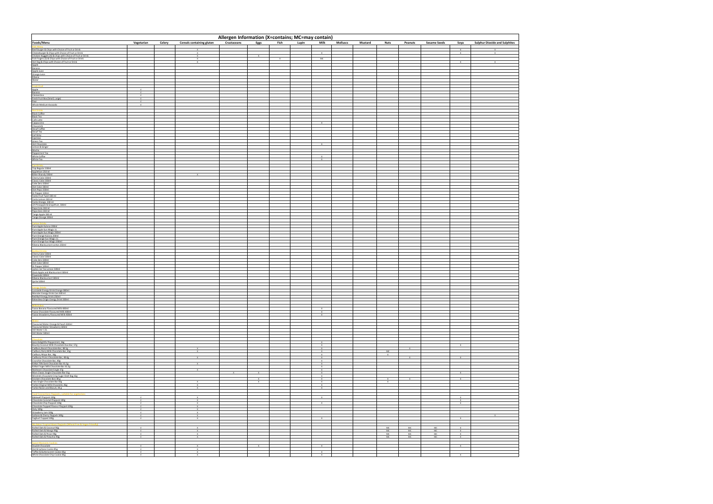| Allergen Information (X=contains; MC=may contain)                                                                                                                                                                                 |            |        |                              |             |              |              |       |                                             |                 |         |                      |                 |                     |                                                           |                                      |
|-----------------------------------------------------------------------------------------------------------------------------------------------------------------------------------------------------------------------------------|------------|--------|------------------------------|-------------|--------------|--------------|-------|---------------------------------------------|-----------------|---------|----------------------|-----------------|---------------------|-----------------------------------------------------------|--------------------------------------|
|                                                                                                                                                                                                                                   | Vegetarian | Celery | Cereals containing gluten    | Crustaceans | Eggs         | Fish         | Lupin | <b>Milk</b>                                 | <b>Molluscs</b> | Mustard | <b>Nuts</b>          | Peanuts         | <b>Sesame Seeds</b> | Soya                                                      | <b>Sulphur Dioxide and Sulphites</b> |
|                                                                                                                                                                                                                                   |            |        |                              |             |              |              |       |                                             |                 |         |                      |                 |                     | $\mathbf{x}$                                              |                                      |
|                                                                                                                                                                                                                                   |            |        | $\mathbf{x}$<br>$\mathbf{x}$ |             | $\mathbf{x}$ | $\mathbf{x}$ |       | MC                                          |                 |         |                      |                 |                     |                                                           |                                      |
|                                                                                                                                                                                                                                   |            |        | $\times$                     |             |              |              |       |                                             |                 |         |                      |                 |                     | $-10$                                                     | $\mathbf{x}$                         |
|                                                                                                                                                                                                                                   |            |        |                              |             |              |              |       |                                             |                 |         |                      |                 |                     |                                                           |                                      |
|                                                                                                                                                                                                                                   |            |        |                              |             |              |              |       |                                             |                 |         |                      |                 |                     |                                                           |                                      |
|                                                                                                                                                                                                                                   |            |        |                              |             |              |              |       |                                             |                 |         |                      |                 |                     |                                                           |                                      |
|                                                                                                                                                                                                                                   |            |        |                              |             |              |              |       |                                             |                 |         |                      |                 |                     |                                                           |                                      |
|                                                                                                                                                                                                                                   | V<br>V     |        |                              |             |              |              |       |                                             |                 |         |                      |                 |                     |                                                           |                                      |
|                                                                                                                                                                                                                                   | V          |        |                              |             |              |              |       |                                             |                 |         |                      |                 |                     |                                                           |                                      |
|                                                                                                                                                                                                                                   |            |        |                              |             |              |              |       |                                             |                 |         |                      |                 |                     |                                                           |                                      |
|                                                                                                                                                                                                                                   |            |        |                              |             |              |              |       |                                             |                 |         |                      |                 |                     |                                                           |                                      |
|                                                                                                                                                                                                                                   |            |        |                              |             |              |              |       |                                             |                 |         |                      |                 |                     |                                                           |                                      |
|                                                                                                                                                                                                                                   |            |        |                              |             |              |              |       |                                             |                 |         |                      |                 |                     |                                                           |                                      |
|                                                                                                                                                                                                                                   |            |        |                              |             |              |              |       |                                             |                 |         |                      |                 |                     |                                                           |                                      |
|                                                                                                                                                                                                                                   |            |        |                              |             |              |              |       |                                             |                 |         |                      |                 |                     |                                                           |                                      |
|                                                                                                                                                                                                                                   |            |        |                              |             |              |              |       |                                             |                 |         |                      |                 |                     |                                                           |                                      |
|                                                                                                                                                                                                                                   |            |        |                              |             |              |              |       | $\boldsymbol{\mathsf{x}}$                   |                 |         |                      |                 |                     |                                                           |                                      |
| Fooda (Marin 2001)<br>Fooda (Marin 2001)<br>Contributed in the same of the same of the same of the same of the same of the same of the same of the same of the same of the same of the same of the same of the same of the same o |            |        |                              |             |              |              |       | $\boldsymbol{\mathsf{x}}$                   |                 |         |                      |                 |                     |                                                           |                                      |
|                                                                                                                                                                                                                                   |            |        |                              |             |              |              |       |                                             |                 |         |                      |                 |                     |                                                           |                                      |
|                                                                                                                                                                                                                                   |            |        |                              |             |              |              |       |                                             |                 |         |                      |                 |                     |                                                           |                                      |
|                                                                                                                                                                                                                                   |            |        |                              |             |              |              |       |                                             |                 |         |                      |                 |                     |                                                           |                                      |
|                                                                                                                                                                                                                                   |            |        |                              |             |              |              |       |                                             |                 |         |                      |                 |                     |                                                           |                                      |
|                                                                                                                                                                                                                                   |            |        |                              |             |              |              |       |                                             |                 |         |                      |                 |                     |                                                           |                                      |
|                                                                                                                                                                                                                                   |            |        |                              |             |              |              |       |                                             |                 |         |                      |                 |                     |                                                           |                                      |
|                                                                                                                                                                                                                                   |            |        |                              |             |              |              |       |                                             |                 |         |                      |                 |                     |                                                           |                                      |
|                                                                                                                                                                                                                                   |            |        |                              |             |              |              |       |                                             |                 |         |                      |                 |                     |                                                           |                                      |
|                                                                                                                                                                                                                                   |            |        |                              |             |              |              |       |                                             |                 |         |                      |                 |                     |                                                           |                                      |
|                                                                                                                                                                                                                                   |            |        |                              |             |              |              |       |                                             |                 |         |                      |                 |                     |                                                           |                                      |
|                                                                                                                                                                                                                                   |            |        |                              |             |              |              |       |                                             |                 |         |                      |                 |                     |                                                           |                                      |
|                                                                                                                                                                                                                                   |            |        |                              |             |              |              |       |                                             |                 |         |                      |                 |                     |                                                           |                                      |
|                                                                                                                                                                                                                                   |            |        |                              |             |              |              |       |                                             |                 |         |                      |                 |                     |                                                           |                                      |
|                                                                                                                                                                                                                                   |            |        |                              |             |              |              |       |                                             |                 |         |                      |                 |                     |                                                           |                                      |
|                                                                                                                                                                                                                                   |            |        |                              |             |              |              |       |                                             |                 |         |                      |                 |                     |                                                           |                                      |
|                                                                                                                                                                                                                                   |            |        |                              |             |              |              |       |                                             |                 |         |                      |                 |                     |                                                           |                                      |
|                                                                                                                                                                                                                                   |            |        |                              |             |              |              |       |                                             |                 |         |                      |                 |                     |                                                           |                                      |
|                                                                                                                                                                                                                                   |            |        |                              |             |              |              |       |                                             |                 |         |                      |                 |                     |                                                           |                                      |
|                                                                                                                                                                                                                                   |            |        |                              |             |              |              |       |                                             |                 |         |                      |                 |                     |                                                           |                                      |
|                                                                                                                                                                                                                                   |            |        |                              |             |              |              |       |                                             |                 |         |                      |                 |                     |                                                           |                                      |
|                                                                                                                                                                                                                                   |            |        |                              |             |              |              |       |                                             |                 |         |                      |                 |                     |                                                           |                                      |
|                                                                                                                                                                                                                                   |            |        |                              |             |              |              |       |                                             |                 |         |                      |                 |                     |                                                           |                                      |
|                                                                                                                                                                                                                                   |            |        |                              |             |              |              |       | $\overline{Y}$                              |                 |         |                      |                 |                     |                                                           |                                      |
|                                                                                                                                                                                                                                   |            |        |                              |             |              |              |       | $\mathbf x$                                 |                 |         |                      |                 |                     |                                                           |                                      |
|                                                                                                                                                                                                                                   |            |        |                              |             |              |              |       |                                             |                 |         |                      |                 |                     |                                                           |                                      |
|                                                                                                                                                                                                                                   |            |        |                              |             |              |              |       |                                             |                 |         |                      |                 |                     |                                                           |                                      |
|                                                                                                                                                                                                                                   |            |        |                              |             |              |              |       |                                             |                 |         |                      |                 |                     |                                                           |                                      |
|                                                                                                                                                                                                                                   |            |        |                              |             |              |              |       | $\,$ $\,\times$                             |                 |         |                      |                 |                     |                                                           |                                      |
|                                                                                                                                                                                                                                   |            |        |                              |             |              |              |       | $\overline{Y}$                              |                 |         |                      |                 |                     |                                                           |                                      |
|                                                                                                                                                                                                                                   |            |        | $\boldsymbol{\chi}$          |             |              |              |       | $\mathbf{x}$<br>$\mathbf x$<br>$\mathbf{x}$ |                 |         | $\frac{MC}{X}$       |                 |                     |                                                           |                                      |
|                                                                                                                                                                                                                                   |            |        | $\mathbf{x}$                 |             |              |              |       | $\mathbf{x}$<br>$\mathbf{x}$                |                 |         |                      |                 |                     |                                                           |                                      |
|                                                                                                                                                                                                                                   |            |        |                              |             |              |              |       |                                             |                 |         |                      |                 |                     |                                                           |                                      |
|                                                                                                                                                                                                                                   |            |        |                              |             |              |              |       | $\mathbf{x}$<br>$\mathbf{x}$                |                 |         |                      |                 |                     |                                                           |                                      |
|                                                                                                                                                                                                                                   |            |        | $\mathbf{x}$                 |             | $\mathbf{x}$ |              |       | $\mathbf x$<br>$\mathbf{x}$                 |                 |         | $\mathbf{x}$         |                 |                     | $\mathbf{x}$                                              |                                      |
|                                                                                                                                                                                                                                   |            |        | $\mathbf{x}$                 |             |              |              |       | $\mathbf{x}$<br>$\overline{\mathbf{x}}$     |                 |         |                      |                 |                     |                                                           |                                      |
|                                                                                                                                                                                                                                   |            |        |                              |             |              |              |       |                                             |                 |         |                      |                 |                     |                                                           |                                      |
|                                                                                                                                                                                                                                   |            |        |                              |             |              |              |       | $\boldsymbol{\mathsf{x}}$<br>$\mathbf{x}$   |                 |         |                      |                 |                     | $\boldsymbol{\mathsf{x}}$<br>$\mathbf{x}$<br>$\mathbf{x}$ |                                      |
|                                                                                                                                                                                                                                   |            |        |                              |             |              |              |       |                                             |                 |         |                      |                 |                     |                                                           |                                      |
|                                                                                                                                                                                                                                   |            |        |                              |             |              |              |       |                                             |                 |         |                      |                 |                     |                                                           |                                      |
|                                                                                                                                                                                                                                   |            |        | $\mathbf{x}$                 |             |              |              |       |                                             |                 |         |                      |                 |                     | $\mathbf{x}$                                              |                                      |
|                                                                                                                                                                                                                                   |            |        |                              |             |              |              |       |                                             |                 |         |                      |                 |                     |                                                           |                                      |
|                                                                                                                                                                                                                                   |            |        |                              |             |              |              |       |                                             |                 |         | $MC$<br>$MC$<br>$MC$ | $\frac{MC}{MC}$ | $\frac{MC}{MC}$     |                                                           |                                      |
|                                                                                                                                                                                                                                   |            |        |                              |             |              |              |       |                                             |                 |         | MC                   | MC              |                     |                                                           |                                      |
|                                                                                                                                                                                                                                   |            |        |                              |             |              |              |       |                                             |                 |         |                      |                 |                     |                                                           |                                      |
|                                                                                                                                                                                                                                   |            |        |                              |             |              |              |       |                                             |                 |         |                      |                 |                     |                                                           |                                      |